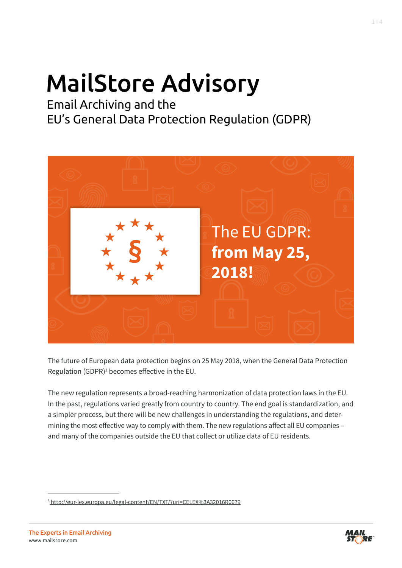# MailStore Advisory

Email Archiving and the EU's General Data Protection Regulation (GDPR)



The future of European data protection begins on 25 May 2018, when the General Data Protection Regulation (GDPR)<sup>1</sup> becomes effective in the EU.

The new regulation represents a broad-reaching harmonization of data protection laws in the EU. In the past, regulations varied greatly from country to country. The end goal is standardization, and a simpler process, but there will be new challenges in understanding the regulations, and determining the most effective way to comply with them. The new regulations affect all EU companies – and many of the companies outside the EU that collect or utilize data of EU residents.



<sup>1</sup> http://eur-lex.europa.eu/legal-content/EN/TXT/?uri=CELEX%3A32016R0679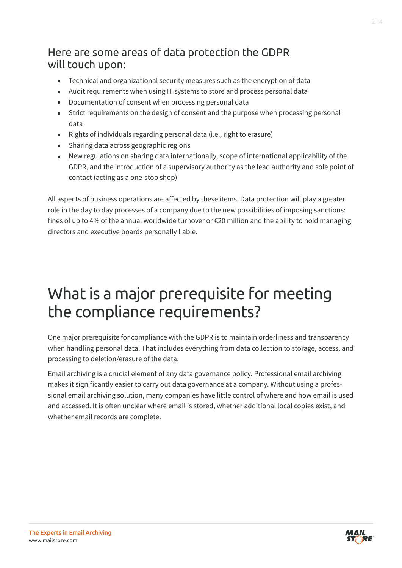### Here are some areas of data protection the GDPR will touch upon:

- **EXEC** Technical and organizational security measures such as the encryption of data
- Audit requirements when using IT systems to store and process personal data
- Documentation of consent when processing personal data
- Strict requirements on the design of consent and the purpose when processing personal data
- Rights of individuals regarding personal data (i.e., right to erasure)
- Sharing data across geographic regions
- New regulations on sharing data internationally, scope of international applicability of the GDPR, and the introduction of a supervisory authority as the lead authority and sole point of contact (acting as a one-stop shop)

All aspects of business operations are affected by these items. Data protection will play a greater role in the day to day processes of a company due to the new possibilities of imposing sanctions: fines of up to 4% of the annual worldwide turnover or €20 million and the ability to hold managing directors and executive boards personally liable.

## What is a major prerequisite for meeting the compliance requirements?

One major prerequisite for compliance with the GDPR is to maintain orderliness and transparency when handling personal data. That includes everything from data collection to storage, access, and processing to deletion/erasure of the data.

Email archiving is a crucial element of any data governance policy. Professional email archiving makes it significantly easier to carry out data governance at a company. Without using a professional email archiving solution, many companies have little control of where and how email is used and accessed. It is often unclear where email is stored, whether additional local copies exist, and whether email records are complete.

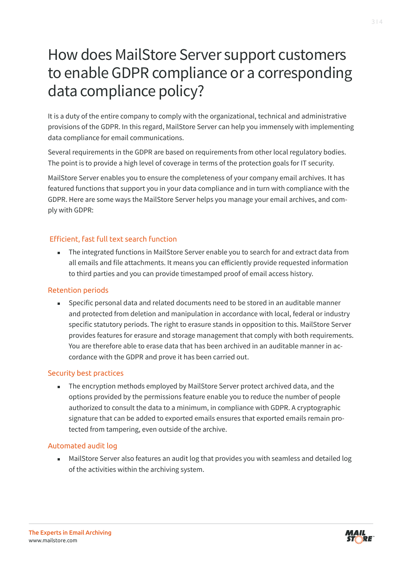### How does MailStore Server support customers to enable GDPR compliance or a corresponding data compliance policy?

It is a duty of the entire company to comply with the organizational, technical and administrative provisions of the GDPR. In this regard, MailStore Server can help you immensely with implementing data compliance for email communications.

Several requirements in the GDPR are based on requirements from other local regulatory bodies. The point is to provide a high level of coverage in terms of the protection goals for IT security.

MailStore Server enables you to ensure the completeness of your company email archives. It has featured functions that support you in your data compliance and in turn with compliance with the GDPR. Here are some ways the MailStore Server helps you manage your email archives, and comply with GDPR:

#### Efficient, fast full text search function

 The integrated functions in MailStore Server enable you to search for and extract data from all emails and file attachments. It means you can efficiently provide requested information to third parties and you can provide timestamped proof of email access history.

#### Retention periods

 Specific personal data and related documents need to be stored in an auditable manner and protected from deletion and manipulation in accordance with local, federal or industry specific statutory periods. The right to erasure stands in opposition to this. MailStore Server provides features for erasure and storage management that comply with both requirements. You are therefore able to erase data that has been archived in an auditable manner in accordance with the GDPR and prove it has been carried out.

#### Security best practices

 The encryption methods employed by MailStore Server protect archived data, and the options provided by the permissions feature enable you to reduce the number of people authorized to consult the data to a minimum, in compliance with GDPR. A cryptographic signature that can be added to exported emails ensures that exported emails remain protected from tampering, even outside of the archive.

#### Automated audit log

**MailStore Server also features an audit log that provides you with seamless and detailed log** of the activities within the archiving system.